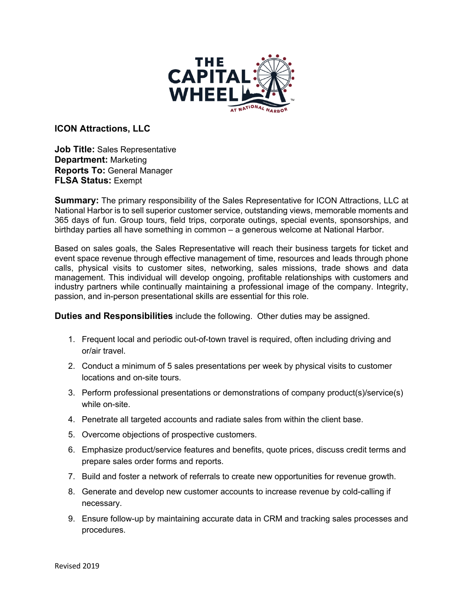

**ICON Attractions, LLC**

**Job Title:** Sales Representative **Department:** Marketing **Reports To:** General Manager **FLSA Status:** Exempt

**Summary:** The primary responsibility of the Sales Representative for ICON Attractions, LLC at National Harbor is to sell superior customer service, outstanding views, memorable moments and 365 days of fun. Group tours, field trips, corporate outings, special events, sponsorships, and birthday parties all have something in common – a generous welcome at National Harbor.

Based on sales goals, the Sales Representative will reach their business targets for ticket and event space revenue through effective management of time, resources and leads through phone calls, physical visits to customer sites, networking, sales missions, trade shows and data management. This individual will develop ongoing, profitable relationships with customers and industry partners while continually maintaining a professional image of the company. Integrity, passion, and in-person presentational skills are essential for this role.

**Duties and Responsibilities** include the following. Other duties may be assigned.

- 1. Frequent local and periodic out-of-town travel is required, often including driving and or/air travel.
- 2. Conduct a minimum of 5 sales presentations per week by physical visits to customer locations and on-site tours.
- 3. Perform professional presentations or demonstrations of company product(s)/service(s) while on-site.
- 4. Penetrate all targeted accounts and radiate sales from within the client base.
- 5. Overcome objections of prospective customers.
- 6. Emphasize product/service features and benefits, quote prices, discuss credit terms and prepare sales order forms and reports.
- 7. Build and foster a network of referrals to create new opportunities for revenue growth.
- 8. Generate and develop new customer accounts to increase revenue by cold-calling if necessary.
- 9. Ensure follow-up by maintaining accurate data in CRM and tracking sales processes and procedures.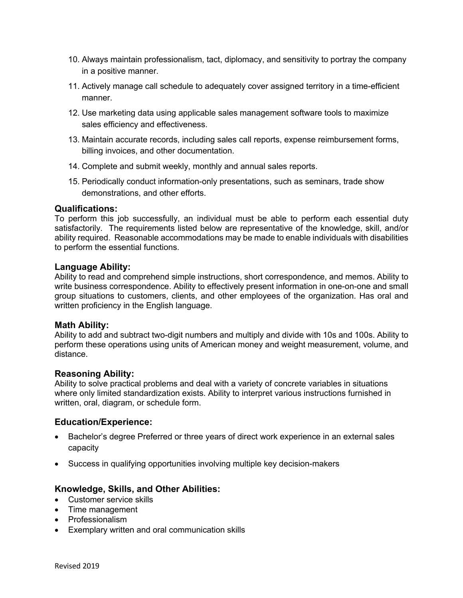- 10. Always maintain professionalism, tact, diplomacy, and sensitivity to portray the company in a positive manner.
- 11. Actively manage call schedule to adequately cover assigned territory in a time-efficient manner.
- 12. Use marketing data using applicable sales management software tools to maximize sales efficiency and effectiveness.
- 13. Maintain accurate records, including sales call reports, expense reimbursement forms, billing invoices, and other documentation.
- 14. Complete and submit weekly, monthly and annual sales reports.
- 15. Periodically conduct information-only presentations, such as seminars, trade show demonstrations, and other efforts.

## **Qualifications:**

To perform this job successfully, an individual must be able to perform each essential duty satisfactorily. The requirements listed below are representative of the knowledge, skill, and/or ability required. Reasonable accommodations may be made to enable individuals with disabilities to perform the essential functions.

### **Language Ability:**

Ability to read and comprehend simple instructions, short correspondence, and memos. Ability to write business correspondence. Ability to effectively present information in one-on-one and small group situations to customers, clients, and other employees of the organization. Has oral and written proficiency in the English language.

## **Math Ability:**

Ability to add and subtract two-digit numbers and multiply and divide with 10s and 100s. Ability to perform these operations using units of American money and weight measurement, volume, and distance.

## **Reasoning Ability:**

Ability to solve practical problems and deal with a variety of concrete variables in situations where only limited standardization exists. Ability to interpret various instructions furnished in written, oral, diagram, or schedule form.

## **Education/Experience:**

- Bachelor's degree Preferred or three years of direct work experience in an external sales capacity
- Success in qualifying opportunities involving multiple key decision-makers

## **Knowledge, Skills, and Other Abilities:**

- Customer service skills
- Time management
- Professionalism
- Exemplary written and oral communication skills